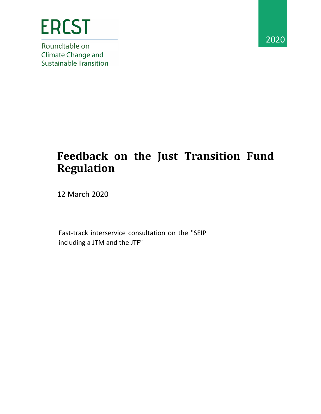

Roundtable on **Climate Change and Sustainable Transition** 



## **Feedback on the Just Transition Fund Regulation**

12 March 2020

Fast-track interservice consultation on the "SEIP including a JTM and the JTF"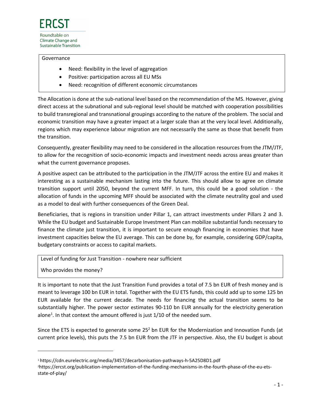## Governance

- Need: flexibility in the level of aggregation
- Positive: participation across all EU MSs
- Need: recognition of different economic circumstances

The Allocation is done at the sub-national level based on the recommendation of the MS. However, giving direct access at the subnational and sub-regional level should be matched with cooperation possibilities to build transregional and transnational groupings according to the nature of the problem. The social and economic transition may have a greater impact at a larger scale than at the very local level. Additionally, regions which may experience labour migration are not necessarily the same as those that benefit from the transition.

Consequently, greater flexibility may need to be considered in the allocation resources from the JTM/JTF, to allow for the recognition of socio-economic impacts and investment needs across areas greater than what the current governance proposes.

A positive aspect can be attributed to the participation in the JTM/JTF across the entire EU and makes it interesting as a sustainable mechanism lasting into the future. This should allow to agree on climate transition support until 2050, beyond the current MFF. In turn, this could be a good solution - the allocation of funds in the upcoming MFF should be associated with the climate neutrality goal and used as a model to deal with further consequences of the Green Deal.

Beneficiaries, that is regions in transition under Pillar 1, can attract investments under Pillars 2 and 3. While the EU budget and Sustainable Europe Investment Plan can mobilize substantial funds necessary to finance the climate just transition, it is important to secure enough financing in economies that have investment capacities below the EU average. This can be done by, for example, considering GDP/capita, budgetary constraints or access to capital markets.

Level of funding for Just Transition - nowhere near sufficient

Who provides the money?

It is important to note that the Just Transition Fund provides a total of 7.5 bn EUR of fresh money and is meant to leverage 100 bn EUR in total. Together with the EU ETS funds, this could add up to some 125 bn EUR available for the current decade. The needs for financing the actual transition seems to be substantially higher. The power sector estimates 90-110 bn EUR annually for the electricity generation alone<sup>1</sup>. In that context the amount offered is just 1/10 of the needed sum.

Since the ETS is expected to generate some 25<sup>2</sup> bn EUR for the Modernization and Innovation Funds (at current price levels), this puts the 7.5 bn EUR from the JTF in perspective. Also, the EU budget is about

<sup>1</sup> <https://cdn.eurelectric.org/media/3457/decarbonisation-pathways-h-5A25D8D1.pdf>

<sup>2</sup>https://ercst.org/publication-implementation-of-the-funding-mechanisms-in-the-fourth-phase-of-the-eu-etsstate-of-play/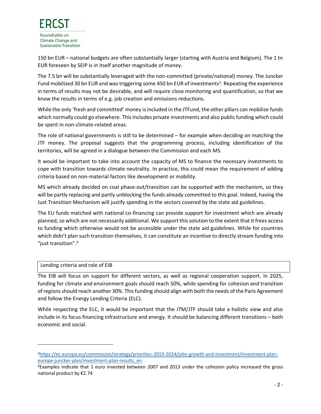150 bn EUR – national budgets are often substantially larger (starting with Austria and Belgium). The 1 tn EUR foreseen by SEIP is in itself another magnitude of money.

The 7.5 bn will be substantially leveraged with the non-committed (private/national) money. The Juncker Fund mobilized 30 bn EUR and was triggering some 450 bn EUR of investments<sup>3</sup>. Repeating the experience in terms of results may not be desirable, and will require close monitoring and quantification, so that we know the results in terms of e.g. job creation and emissions reductions.

While the only 'fresh and committed' money is included in the JTFund, the other pillars can mobilize funds which normally could go elsewhere. This includes private investments and also public funding which could be spent in non-climate-related areas.

The role of national governments is still to be determined – for example when deciding on matching the JTF money. The proposal suggests that the programming process, including identification of the territories, will be agreed in a dialogue between the Commission and each MS.

It would be important to take into account the capacity of MS to finance the necessary investments to cope with transition towards climate neutrality. In practice, this could mean the requirement of adding criteria based on non-material factors like development or mobility.

MS which already decided on coal phase-out/transition can be supported with the mechanism, so they will be partly replacing and partly unblocking the funds already committed to this goal. Indeed, having the Just Transition Mechanism will justify spending in the sectors covered by the state aid guidelines.

The EU funds matched with national co-financing can provide support for investment which are already planned, so which are not necessarily additional. We support this solution to the extent that it frees access to funding which otherwise would not be accessible under the state aid guidelines. While for countries which didn't plan such transition themselves, it can constitute an incentive to directly stream funding into "just transition".<sup>4</sup>

## Lending criteria and role of EIB

The EIB will focus on support for different sectors, as well as regional cooperation support. In 2025, funding for climate and environment goals should reach 50%, while spending for cohesion and transition of regions should reach another 30%. This funding should align with both the needs of the Paris Agreement and follow the Energy Lending Criteria (ELC).

While respecting the ELC, it would be important that the JTM/JTF should take a holistic view and also include in its focus financing infrastructure and energy. It should be balancing different transitions – both economic and social.

<sup>3</sup>[https://ec.europa.eu/commission/strategy/priorities-2019-2024/jobs-growth-and-investment/investment-plan](https://ec.europa.eu/commission/strategy/priorities-2019-2024/jobs-growth-and-investment/investment-plan-europe-juncker-plan/investment-plan-results_en)[europe-juncker-plan/investment-plan-results\\_en](https://ec.europa.eu/commission/strategy/priorities-2019-2024/jobs-growth-and-investment/investment-plan-europe-juncker-plan/investment-plan-results_en)

<sup>4</sup>Examples indicate that 1 euro invested between 2007 and 2013 under the cohesion policy increased the gross national product by €2.74